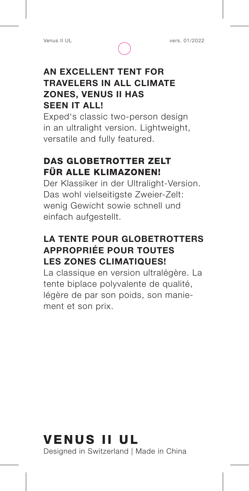

### **AN EXCELLENT TENT FOR TRAVELERS IN ALL CLIMATE ZONES, VENUS II HAS SEEN IT ALL!**

Exped's classic two-person design in an ultralight version. Lightweight, versatile and fully featured.

## DAS GLOBETROTTER ZELT FÜR ALLE KLIMAZONEN!

Der Klassiker in der Ultralight-Version. Das wohl vielseitigste Zweier-Zelt: wenig Gewicht sowie schnell und einfach aufgestellt.

## **LA TENTE POUR GLOBETROTTERS APPROPRIÉE POUR TOUTES LES ZONES CLIMATIQUES!**

La classique en version ultralégère. La tente biplace polyvalente de qualité, légère de par son poids, son maniement et son prix.

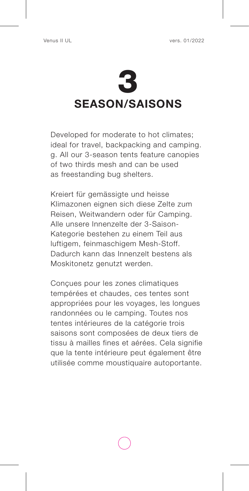

Developed for moderate to hot climates; ideal for travel, backpacking and camping. g. All our 3-season tents feature canopies of two thirds mesh and can be used as freestanding bug shelters.

Kreiert für gemässigte und heisse Klimazonen eignen sich diese Zelte zum Reisen, Weitwandern oder für Camping. Alle unsere Innenzelte der 3-Saison-Kategorie bestehen zu einem Teil aus luftigem, feinmaschigem Mesh-Stoff. Dadurch kann das Innenzelt bestens als Moskitonetz genutzt werden.

Conçues pour les zones climatiques tempérées et chaudes, ces tentes sont appropriées pour les voyages, les longues randonnées ou le camping. Toutes nos tentes intérieures de la catégorie trois saisons sont composées de deux tiers de tissu à mailles fines et aérées. Cela signifie que la tente intérieure peut également être utilisée comme moustiquaire autoportante.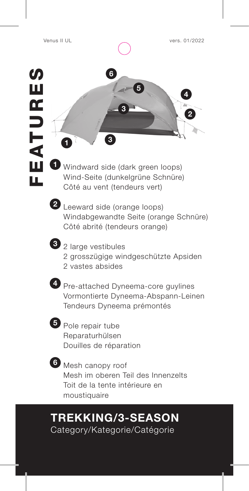



**1** Windward side (dark green loops) Wind-Seite (dunkelgrüne Schnüre) Côté au vent (tendeurs vert)



**2** Leeward side (orange loops) Windabgewandte Seite (orange Schnüre) Côté abrité (tendeurs orange)

- 
- **3** 2 large vestibules
	- 2 grosszügige windgeschützte Apsiden
	- 2 vastes absides



**4** Pre-attached Dyneema-core guylines Vormontierte Dyneema-Abspann-Leinen Tendeurs Dyneema prémontés



**5** Pole repair tube Reparaturhülsen Douilles de réparation



**6** Mesh canopy roof Mesh im oberen Teil des Innenzelts Toit de la tente intérieure en moustiquaire

# **TREKKING/3-SEASON**

Category/Kategorie/Catégorie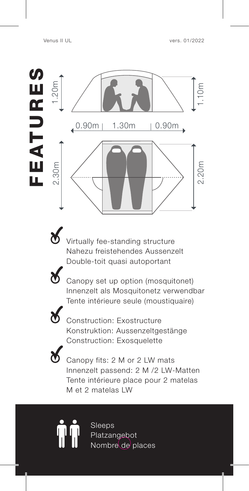



Virtually fee-standing structure Nahezu freistehendes Aussenzelt Double-toit quasi autoportant



Canopy set up option (mosquitonet) Innenzelt als Mosquitonetz verwendbar Tente intérieure seule (moustiquaire)



Construction: Exostructure Konstruktion: Aussenzeltgestänge Construction: Exosquelette



Canopy fits: 2 M or 2 LW mats Innenzelt passend: 2 M /2 LW-Matten Tente intérieure place pour 2 matelas M et 2 matelas LW

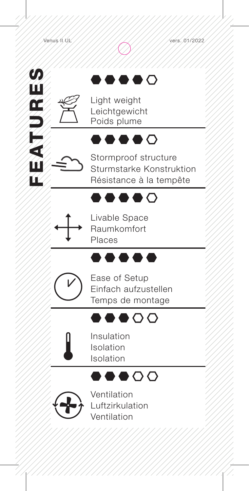FEATURES

一个人叫

ĹĹ

 $\boldsymbol{\omega}$ 

Щ OS<br>D

## $\bullet$   $\circ$

Light weight Leichtgewicht Poids plume

## $\bullet\bullet\bullet\bullet\circ$

Stormproof structure Sturmstarke Konstruktion Résistance à la tempête

## ....

Livable Space Raumkomfort Places

## .....



Ease of Setup Einfach aufzustellen Temps de montage

## $\bullet\bullet\bullet\circ\circ$



Insulation Isolation Isolation





Ventilation Luftzirkulation Ventilation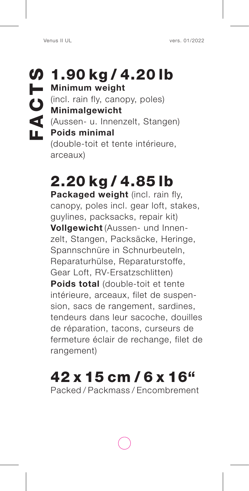$\n 1.90 kg / 4.20 lb\n$ **Minimum weight**  (incl. rain fly, canopy, poles) **Minimalgewicht** (Aussen- u. Innenzelt, Stangen) **Poids minimal**  (double-toit et tente intérieure, arceaux) Venus II UL<br> **FACTS Verse ACTS Verse ACTS**<br> **FACTS Verse ACTS Verse ACTS**<br> **FACTS Verse ACTS**<br> **FACTS Verse ACTS**<br> **FACTS**<br> **FACTS**<br> **FACTS**<br> **FACTS**<br> **FACTS**<br> **FACTS**<br> **FACTS**<br> **FACTS**<br> **FACTS**<br> **FACTS**<br> **FACTS**<br> **FACTS**<br>

# 2.20 kg / 4.85 lb

**Packaged weight** (incl. rain fly, canopy, poles incl. gear loft, stakes, guylines, packsacks, repair kit) **Vollgewicht** (Aussen- und Innenzelt, Stangen, Packsäcke, Heringe, Spannschnüre in Schnurbeuteln, Reparaturhülse, Reparaturstoffe, Gear Loft, RV-Ersatzschlitten) **Poids total** (double-toit et tente intérieure, arceaux, filet de suspension, sacs de rangement, sardines, tendeurs dans leur sacoche, douilles de réparation, tacons, curseurs de fermeture éclair de rechange, filet de rangement)

# 42 x 15 cm / 6 x 16"

Packed / Packmass / Encombrement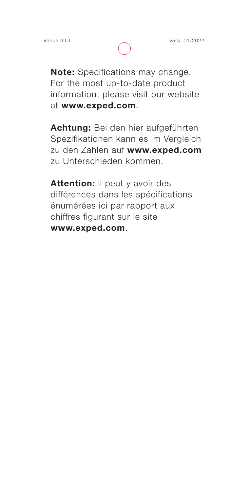**Note:** Specifications may change. For the most up-to-date product information, please visit our website at **www.exped.com**.

**Achtung:** Bei den hier aufgeführten Spezifikationen kann es im Vergleich zu den Zahlen auf **www.exped.com**  zu Unterschieden kommen.

**Attention:** il peut y avoir des différences dans les spécifications énumérées ici par rapport aux chiffres figurant sur le site **www.exped.com**.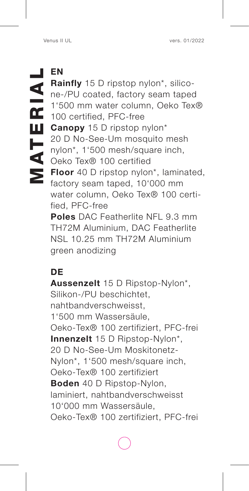**EN Rainfly** 15 D ripstop nylon\*, silicone-/PU coated, factory seam taped 1'500 mm water column, Oeko Tex® 100 certified, PFC-free **Canopy** 15 D ripstop nylon\* 20 D No-See-Um mosquito mesh nylon\*, 1'500 mesh/square inch, Oeko Tex® 100 certified **Floor** 40 D ripstop nylon\*, laminated, factory seam taped, 10'000 mm water column, Oeko Tex® 100 certified, PFC-free **Poles** DAC Featherlite NFL 9.3 mm TH72M Aluminium, DAC Featherlite NSL 10.25 mm TH72M Aluminium Venus II UL<br> **EN**<br> **Rainfly** 15 D ripstop nylon\*, silico-<br>
ne-/PU coated, factory seam taped<br>
1'500 mm water column, Oeko Tex®<br>
100 certified, PFC-free<br> **Canopy** 15 D ripstop nylon\*<br>
20 D No-See-Um mosquito mesh<br>
nylon\*, 1

### green anodizing

### **DE**

**Aussenzelt** 15 D Ripstop-Nylon\*, Silikon-/PU beschichtet, nahtbandverschweisst, 1'500 mm Wassersäule, Oeko-Tex® 100 zertifiziert, PFC-frei **Innenzelt** 15 D Ripstop-Nylon\*, 20 D No-See-Um Moskitonetz-Nylon\*, 1'500 mesh/square inch, Oeko-Tex® 100 zertifiziert **Boden** 40 D Ripstop-Nylon, laminiert, nahtbandverschweisst 10'000 mm Wassersäule, Oeko-Tex® 100 zertifiziert, PFC-frei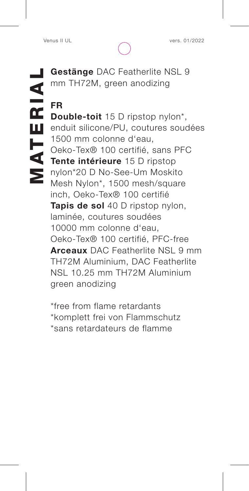**Gestänge** DAC Featherlite NSL 9<br> **MATERICAL SCRIPT SETTER**<br> **FR**<br> **MATERIAL SCRIPT SETTER DESCRIPT SOFT SETTER ORDER 1500 mm colonne d'eau,<br>
Oeko-Tex® 100 certifié, sans PFC<br>
<b>Tente intérieure** 15 D ripstop<br>
Math Nulon\* 1 mm TH72M, green anodizing **FR Double-toit** 15 D ripstop nylon\*, enduit silicone/PU, coutures soudées 1500 mm colonne d'eau,

Oeko-Tex® 100 certifié, sans PFC **Tente intérieure** 15 D ripstop nylon\*20 D No-See-Um Moskito Mesh Nylon\*, 1500 mesh/square inch, Oeko-Tex® 100 certifié **Tapis de sol** 40 D ripstop nylon, laminée, coutures soudées 10000 mm colonne d'eau, Oeko-Tex® 100 certifié, PFC-free **Arceaux** DAC Featherlite NSL 9 mm TH72M Aluminium, DAC Featherlite NSL 10.25 mm TH72M Aluminium green anodizing

\*free from flame retardants \*komplett frei von Flammschutz \*sans retardateurs de flamme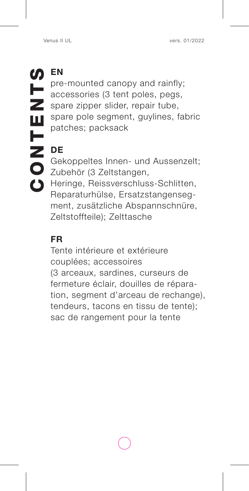pre-mounted canopy and rainfly; accessories (3 tent poles, pegs, spare zipper slider, repair tube, spare pole segment, guylines, fabric patches; packsack

## **DE**

Gekoppeltes Innen- und Aussenzelt; Zubehör (3 Zeltstangen, Heringe, Reissverschluss-Schlitten, Reparaturhülse, Ersatzstangenseg ment, zusätzliche Abspannschnüre, Zeltstoffteile); Zelttasche

### **FR**

Tente intérieure et extérieure couplées; accessoires (3 arceaux, sardines, curseurs de fermeture éclair, douilles de répara tion, segment d'arceau de rechange), tendeurs, tacons en tissu de tente); sac de rangement pour la tente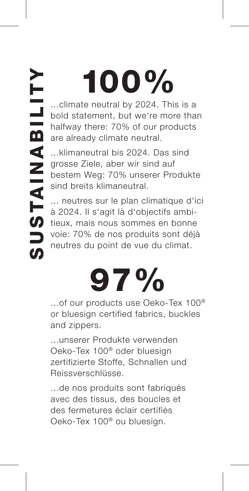# 100%

...climate neutral by 2024. This is a bold statement, but we're more than halfway there: 70% of our products are already climate neutral.

...klimaneutral bis 2024. Das sind grosse Ziele, aber wir sind auf bestem Weg: 70% unserer Produkte sind breits klimaneutral.

... neutres sur le plan climatique d'ici à 2024. Il s'agit là d'objectifs ambitieux, mais nous sommes en bonne voie: 70% de nos produits sont déjà neutres du point de vue du climat.

# 97%

...of our products use Oeko-Tex 100® or bluesign certified fabrics, buckles and zippers.

...unserer Produkte verwenden Oeko-Tex 100® oder bluesign zertifizierte Stoffe, Schnallen und Reissverschlüsse.

...de nos produits sont fabriqués avec des tissus, des boucles et des fermetures éclair certifiés Oeko-Tex 100® ou bluesign.